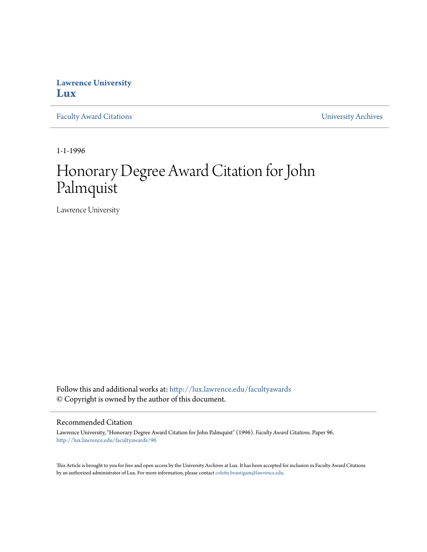## **Lawrence University [Lux](http://lux.lawrence.edu?utm_source=lux.lawrence.edu%2Ffacultyawards%2F96&utm_medium=PDF&utm_campaign=PDFCoverPages)**

[Faculty Award Citations](http://lux.lawrence.edu/facultyawards?utm_source=lux.lawrence.edu%2Ffacultyawards%2F96&utm_medium=PDF&utm_campaign=PDFCoverPages) **Example 2018** [University Archives](http://lux.lawrence.edu/archives?utm_source=lux.lawrence.edu%2Ffacultyawards%2F96&utm_medium=PDF&utm_campaign=PDFCoverPages)

1-1-1996

# Honorary Degree Award Citation for John Palmquist

Lawrence University

Follow this and additional works at: [http://lux.lawrence.edu/facultyawards](http://lux.lawrence.edu/facultyawards?utm_source=lux.lawrence.edu%2Ffacultyawards%2F96&utm_medium=PDF&utm_campaign=PDFCoverPages) © Copyright is owned by the author of this document.

#### Recommended Citation

Lawrence University, "Honorary Degree Award Citation for John Palmquist" (1996). *Faculty Award Citations.* Paper 96. [http://lux.lawrence.edu/facultyawards/96](http://lux.lawrence.edu/facultyawards/96?utm_source=lux.lawrence.edu%2Ffacultyawards%2F96&utm_medium=PDF&utm_campaign=PDFCoverPages)

This Article is brought to you for free and open access by the University Archives at Lux. It has been accepted for inclusion in Faculty Award Citations by an authorized administrator of Lux. For more information, please contact [colette.brautigam@lawrence.edu](mailto:colette.brautigam@lawrence.edu).